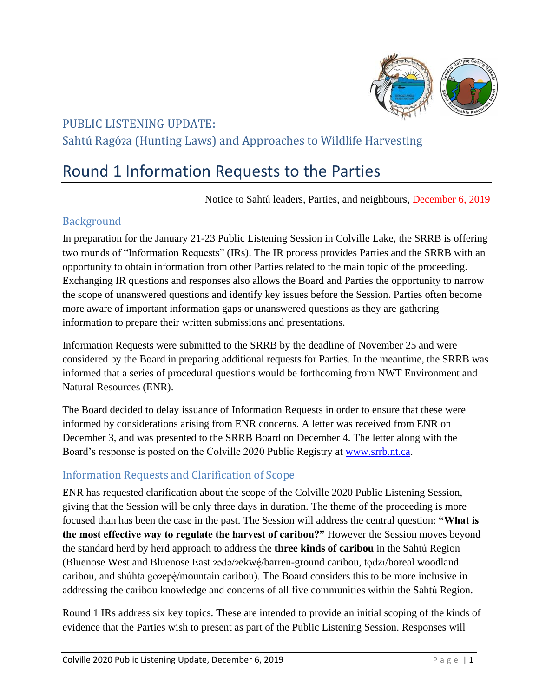

## PUBLIC LISTENING UPDATE: Sahtú Ragóza (Hunting Laws) and Approaches to Wildlife Harvesting

# Round 1 Information Requests to the Parties

Notice to Sahtú leaders, Parties, and neighbours, December 6, 2019

## Background

In preparation for the January 21-23 Public Listening Session in Colville Lake, the SRRB is offering two rounds of "Information Requests" (IRs). The IR process provides Parties and the SRRB with an opportunity to obtain information from other Parties related to the main topic of the proceeding. Exchanging IR questions and responses also allows the Board and Parties the opportunity to narrow the scope of unanswered questions and identify key issues before the Session. Parties often become more aware of important information gaps or unanswered questions as they are gathering information to prepare their written submissions and presentations.

Information Requests were submitted to the SRRB by the deadline of November 25 and were considered by the Board in preparing additional requests for Parties. In the meantime, the SRRB was informed that a series of procedural questions would be forthcoming from NWT Environment and Natural Resources (ENR).

The Board decided to delay issuance of Information Requests in order to ensure that these were informed by considerations arising from ENR concerns. A letter was received from ENR on December 3, and was presented to the SRRB Board on December 4. The letter along with the Board's response is posted on the Colville 2020 Public Registry at [www.srrb.nt.ca.](http://www.srrb.nt.ca/)

## Information Requests and Clarification of Scope

ENR has requested clarification about the scope of the Colville 2020 Public Listening Session, giving that the Session will be only three days in duration. The theme of the proceeding is more focused than has been the case in the past. The Session will address the central question: **"What is the most effective way to regulate the harvest of caribou?"** However the Session moves beyond the standard herd by herd approach to address the **three kinds of caribou** in the Sahtú Region (Bluenose West and Bluenose East ?ǝdǝ/?ekwę́/barren-ground caribou, to̞dzı/boreal woodland ̨́ caribou, and shúhta go $\text{rep} \acute{\text{e}}$ /mountain caribou). The Board considers this to be more inclusive in ̨́ addressing the caribou knowledge and concerns of all five communities within the Sahtú Region.

Round 1 IRs address six key topics. These are intended to provide an initial scoping of the kinds of evidence that the Parties wish to present as part of the Public Listening Session. Responses will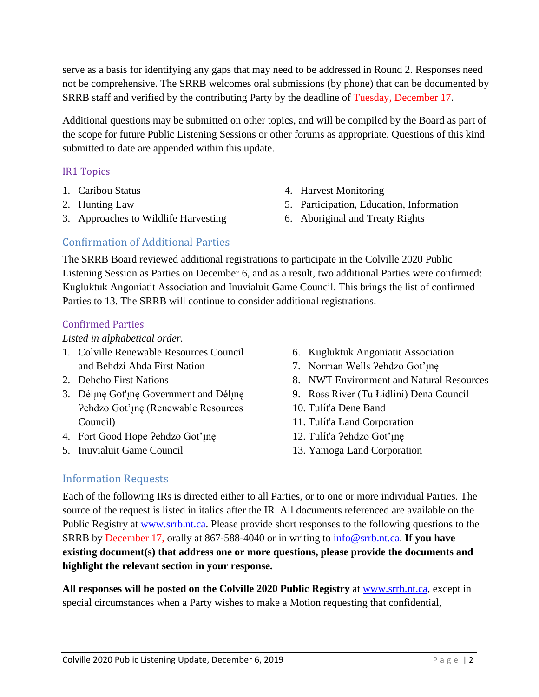serve as a basis for identifying any gaps that may need to be addressed in Round 2. Responses need not be comprehensive. The SRRB welcomes oral submissions (by phone) that can be documented by SRRB staff and verified by the contributing Party by the deadline of Tuesday, December 17.

Additional questions may be submitted on other topics, and will be compiled by the Board as part of the scope for future Public Listening Sessions or other forums as appropriate. Questions of this kind submitted to date are appended within this update.

#### IR1 Topics

- 1. Caribou Status
- 2. Hunting Law
- 3. Approaches to Wildlife Harvesting
- 4. Harvest Monitoring
- 5. Participation, Education, Information
- 6. Aboriginal and Treaty Rights

## Confirmation of Additional Parties

The SRRB Board reviewed additional registrations to participate in the Colville 2020 Public Listening Session as Parties on December 6, and as a result, two additional Parties were confirmed: Kugluktuk Angoniatit Association and Inuvialuit Game Council. This brings the list of confirmed Parties to 13. The SRRB will continue to consider additional registrations.

#### Confirmed Parties

#### *Listed in alphabetical order.*

- 1. Colville Renewable Resources Council and Behdzi Ahda First Nation
- 2. Dehcho First Nations
- 3. Déline Got'ine Government and Déline Pehdzo Got'ıne (Renewable Resources Council)
- 4. Fort Good Hope ?ehdzo Got'ınę
- 5. Inuvialuit Game Council
- 6. Kugluktuk Angoniatit Association
- 7. Norman Wells ?ehdzo Got'ıne
- 8. NWT Environment and Natural Resources
- 9. Ross River (Tu Łidlini) Dena Council
- 10. Tulít'a Dene Band
- 11. Tulít'a Land Corporation
- 12. Tulít'a ?ehdzo Got'ınę
- 13. Yamoga Land Corporation

#### Information Requests

Each of the following IRs is directed either to all Parties, or to one or more individual Parties. The source of the request is listed in italics after the IR. All documents referenced are available on the Public Registry at [www.srrb.nt.ca.](http://www.srrb.nt.ca/) Please provide short responses to the following questions to the SRRB by December 17, orally at 867-588-4040 or in writing to [info@srrb.nt.ca.](mailto:info@srrb.nt.ca) **If you have existing document(s) that address one or more questions, please provide the documents and highlight the relevant section in your response.**

**All responses will be posted on the Colville 2020 Public Registry** at [www.srrb.nt.ca,](http://www.srrb.nt.ca/) except in special circumstances when a Party wishes to make a Motion requesting that confidential,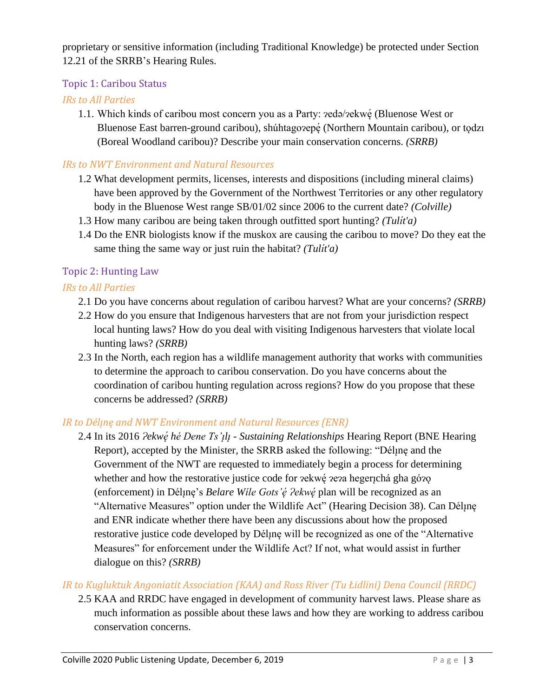proprietary or sensitive information (including Traditional Knowledge) be protected under Section 12.21 of the SRRB's Hearing Rules.

## Topic 1: Caribou Status

## *IRs to All Parties*

1.1. Which kinds of caribou most concern you as a Party:  $\text{redə/}$ <sub>2ekwe</sub> (Bluenose West or Bluenose East barren-ground caribou), shúhtago $2ep$ ę́ (Northern Mountain caribou), or tǫdzı (Boreal Woodland caribou)? Describe your main conservation concerns. *(SRRB)*

## *IRs to NWT Environment and Natural Resources*

- 1.2 What development permits, licenses, interests and dispositions (including mineral claims) have been approved by the Government of the Northwest Territories or any other regulatory body in the Bluenose West range SB/01/02 since 2006 to the current date? *(Colville)*
- 1.3 How many caribou are being taken through outfitted sport hunting? *(Tulı́ t'a)*
- 1.4 Do the ENR biologists know if the muskox are causing the caribou to move? Do they eat the same thing the same way or just ruin the habitat? *(Tulı́ t'a)*

## Topic 2: Hunting Law

## *IRs to All Parties*

- 2.1 Do you have concerns about regulation of caribou harvest? What are your concerns? *(SRRB)*
- 2.2 How do you ensure that Indigenous harvesters that are not from your jurisdiction respect local hunting laws? How do you deal with visiting Indigenous harvesters that violate local hunting laws? *(SRRB)*
- 2.3 In the North, each region has a wildlife management authority that works with communities to determine the approach to caribou conservation. Do you have concerns about the coordination of caribou hunting regulation across regions? How do you propose that these concerns be addressed? *(SRRB)*

#### *IR to Délı̨nę and NWT Environment and Natural Resources (ENR)*

2.4 In its 2016 *Ɂekwe ́ hé Dene Ts'ı lı - Sustaining Relationships* Hearing Report (BNE Hearing Report), accepted by the Minister, the SRRB asked the following: "Dél<sub>i</sub>ne and the Government of the NWT are requested to immediately begin a process for determining whether and how the restorative justice code for zekwę zeza hegerichá gha gózo (enforcement) in Dél<sub>l</sub>ne's *Belare Wile Gots'é ?ekwé* plan will be recognized as an "Alternative Measures" option under the Wildlife Act" (Hearing Decision 38). Can Déline and ENR indicate whether there have been any discussions about how the proposed restorative justice code developed by Déline will be recognized as one of the "Alternative" Measures" for enforcement under the Wildlife Act? If not, what would assist in further dialogue on this? *(SRRB)*

## *IR to Kugluktuk Angoniatit Association (KAA) and Ross River (Tu Łidlini) Dena Council (RRDC)*

2.5 KAA and RRDC have engaged in development of community harvest laws. Please share as much information as possible about these laws and how they are working to address caribou conservation concerns.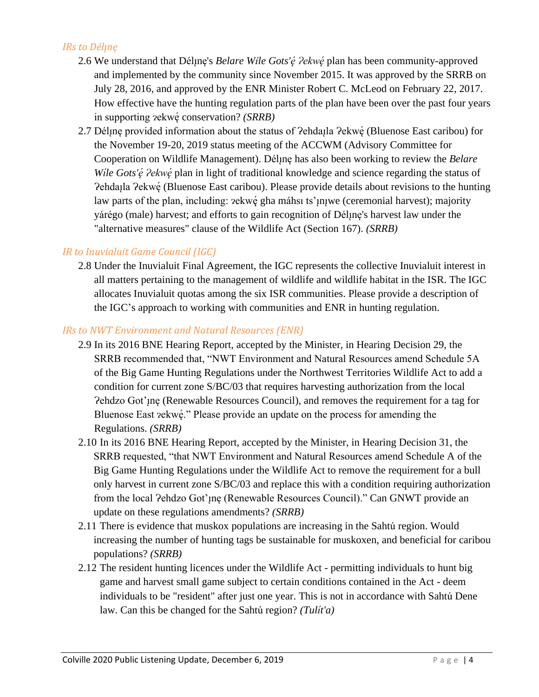## *IRs to Délı̨nę*

- 2.6 We understand that Dél<sub>l</sub>ne's *Belare Wile Gots'é ?ekwé* plan has been community-approved and implemented by the community since November 2015. It was approved by the SRRB on July 28, 2016, and approved by the ENR Minister Robert C. McLeod on February 22, 2017. How effective have the hunting regulation parts of the plan have been over the past four years in supporting ɂekwe ̨́ conservation? *(SRRB)*
- 2.7 Dél<sub>l</sub>ne provided information about the status of ?ehda<sub>l</sub>la ?ekwé (Bluenose East caribou) for the November 19-20, 2019 status meeting of the ACCWM (Advisory Committee for Cooperation on Wildlife Management). Dél<sub>l</sub>ne has also been working to review the *Belare Wile Gots'ę ?ekwe plan in light of traditional knowledge and science regarding the status of* Pehdaįla Pekwę (Bluenose East caribou). Please provide details about revisions to the hunting law parts of the plan, including: 2ekwę́ gha máhsı ts'µµwe (ceremonial harvest); majority yárégo (male) harvest; and efforts to gain recognition of Dél<sub>i</sub>ne's harvest law under the "alternative measures" clause of the Wildlife Act (Section 167). *(SRRB)*

## *IR to Inuvialuit Game Council (IGC)*

2.8 Under the Inuvialuit Final Agreement, the IGC represents the collective Inuvialuit interest in all matters pertaining to the management of wildlife and wildlife habitat in the ISR. The IGC allocates Inuvialuit quotas among the six ISR communities. Please provide a description of the IGC's approach to working with communities and ENR in hunting regulation.

#### *IRs to NWT Environment and Natural Resources (ENR)*

- 2.9 In its 2016 BNE Hearing Report*,* accepted by the Minister, in Hearing Decision 29, the SRRB recommended that, "NWT Environment and Natural Resources amend Schedule 5A of the Big Game Hunting Regulations under the Northwest Territories Wildlife Act to add a condition for current zone S/BC/03 that requires harvesting authorization from the local Pehdzo Got'ine (Renewable Resources Council), and removes the requirement for a tag for Bluenose East zekwé." Please provide an update on the process for amending the ̨́ Regulations. *(SRRB)*
- 2.10 In its 2016 BNE Hearing Report, accepted by the Minister, in Hearing Decision 31, the SRRB requested, "that NWT Environment and Natural Resources amend Schedule A of the Big Game Hunting Regulations under the Wildlife Act to remove the requirement for a bull only harvest in current zone S/BC/03 and replace this with a condition requiring authorization from the local ?ehdzo Got'<sub>i</sub> ne (Renewable Resources Council)." Can GNWT provide an update on these regulations amendments? *(SRRB)*
- 2.11 There is evidence that muskox populations are increasing in the Sahtú region. Would increasing the number of hunting tags be sustainable for muskoxen, and beneficial for caribou populations? *(SRRB)*
- 2.12 The resident hunting licences under the Wildlife Act permitting individuals to hunt big game and harvest small game subject to certain conditions contained in the Act - deem individuals to be "resident" after just one year. This is not in accordance with Sahtú Dene law. Can this be changed for the Sahtú region? *(Tulı́ t'a)*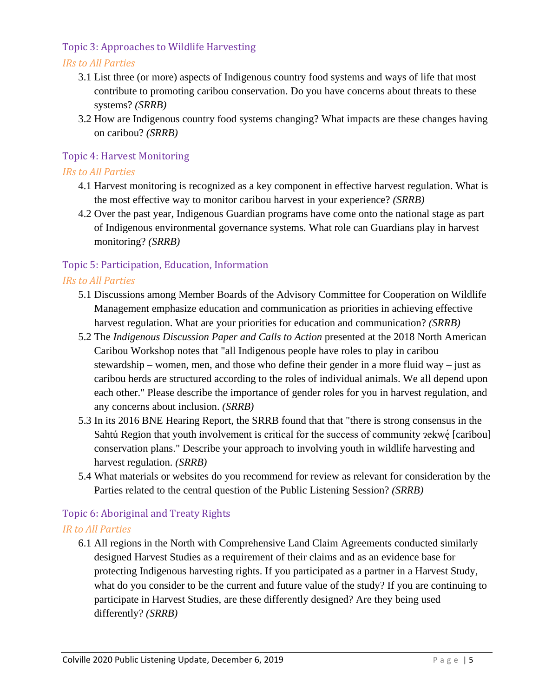## Topic 3: Approaches to Wildlife Harvesting

#### *IRs to All Parties*

- 3.1 List three (or more) aspects of Indigenous country food systems and ways of life that most contribute to promoting caribou conservation. Do you have concerns about threats to these systems? *(SRRB)*
- 3.2 How are Indigenous country food systems changing? What impacts are these changes having on caribou? *(SRRB)*

## Topic 4: Harvest Monitoring

#### *IRs to All Parties*

- 4.1 Harvest monitoring is recognized as a key component in effective harvest regulation. What is the most effective way to monitor caribou harvest in your experience? *(SRRB)*
- 4.2 Over the past year, Indigenous Guardian programs have come onto the national stage as part of Indigenous environmental governance systems. What role can Guardians play in harvest monitoring? *(SRRB)*

## Topic 5: Participation, Education, Information

#### *IRs to All Parties*

- 5.1 Discussions among Member Boards of the Advisory Committee for Cooperation on Wildlife Management emphasize education and communication as priorities in achieving effective harvest regulation. What are your priorities for education and communication? *(SRRB)*
- 5.2 The *Indigenous Discussion Paper and Calls to Action* presented at the 2018 North American Caribou Workshop notes that "all Indigenous people have roles to play in caribou stewardship – women, men, and those who define their gender in a more fluid way – just as caribou herds are structured according to the roles of individual animals. We all depend upon each other." Please describe the importance of gender roles for you in harvest regulation, and any concerns about inclusion. *(SRRB)*
- 5.3 In its 2016 BNE Hearing Report, the SRRB found that that "there is strong consensus in the Sahtú Region that youth involvement is critical for the success of community  $z$ ekw $\acute{\text{e}}$  [caribou] conservation plans." Describe your approach to involving youth in wildlife harvesting and harvest regulation. *(SRRB)*
- 5.4 What materials or websites do you recommend for review as relevant for consideration by the Parties related to the central question of the Public Listening Session? *(SRRB)*

## Topic 6: Aboriginal and Treaty Rights

#### *IR to All Parties*

6.1 All regions in the North with Comprehensive Land Claim Agreements conducted similarly designed Harvest Studies as a requirement of their claims and as an evidence base for protecting Indigenous harvesting rights. If you participated as a partner in a Harvest Study, what do you consider to be the current and future value of the study? If you are continuing to participate in Harvest Studies, are these differently designed? Are they being used differently? *(SRRB)*